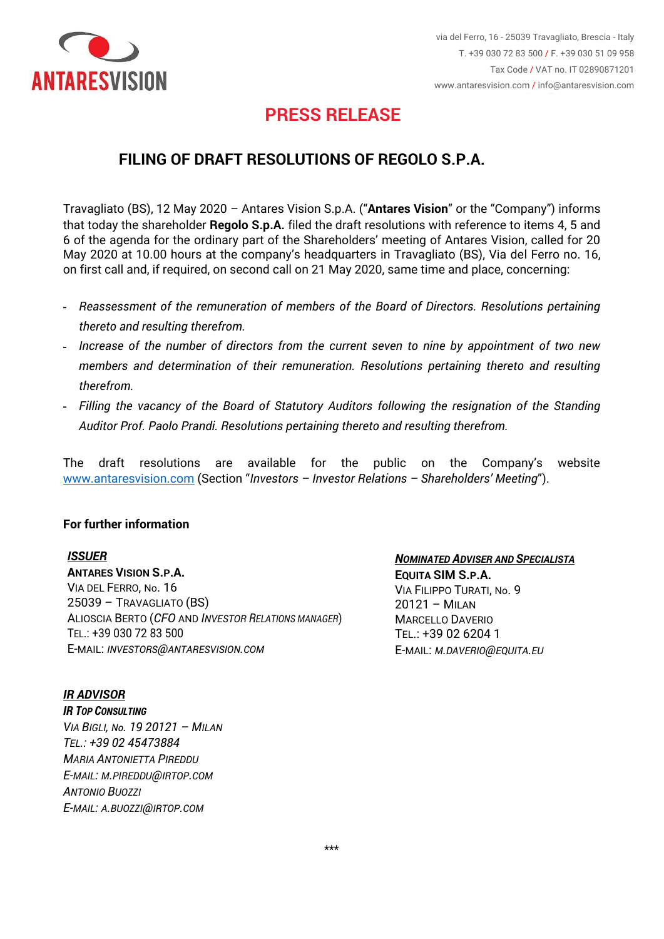

# **PRESS RELEASE**

### **FILING OF DRAFT RESOLUTIONS OF REGOLO S.P.A.**

Travagliato (BS), 12 May 2020 – Antares Vision S.p.A. ("**Antares Vision**" or the "Company") informs that today the shareholder **Regolo S.p.A.** filed the draft resolutions with reference to items 4, 5 and 6 of the agenda for the ordinary part of the Shareholders' meeting of Antares Vision, called for 20 May 2020 at 10.00 hours at the company's headquarters in Travagliato (BS), Via del Ferro no. 16, on first call and, if required, on second call on 21 May 2020, same time and place, concerning:

- *Reassessment of the remuneration of members of the Board of Directors. Resolutions pertaining thereto and resulting therefrom.*
- *Increase of the number of directors from the current seven to nine by appointment of two new members and determination of their remuneration. Resolutions pertaining thereto and resulting therefrom.*
- *Filling the vacancy of the Board of Statutory Auditors following the resignation of the Standing Auditor Prof. Paolo Prandi. Resolutions pertaining thereto and resulting therefrom.*

The draft resolutions are available for the public on the Company's website [www.antaresvision.com](http://www.antaresvision.com/) (Section "*Investors – Investor Relations – Shareholders' Meeting*").

#### **For further information**

#### *ISSUER*

**ANTARES VISION S.P.A.** VIA DEL FERRO, No. 16 25039 – TRAVAGLIATO (BS) ALIOSCIA BERTO (*CFO* AND *INVESTOR RELATIONS MANAGER*) TEL.: +39 030 72 83 500 E-MAIL: *INVESTORS@[ANTARESVISION](mailto:INVESTORS@ANTARESVISION.COM).COM*

*NOMINATED ADVISER AND SPECIALISTA* **EQUITA SIM S.P.A.** VIA FILIPPO TURATI, No. 9 20121 – MILAN MARCELLO DAVERIO TEL.: +39 02 6204 1 E-MAIL: *M.[DAVERIO](mailto:M.DAVERIO@EQUITA.EU)@EQUITA.EU*

*IR ADVISOR IR TOP CONSULTING VIA BIGLI, No. 19 20121 – MILAN TEL.: +39 02 45473884 MARIA ANTONIETTA PIREDDU E-MAIL: M.[PIREDDU](mailto:M.PIREDDU@IRTOP.COM)@IRTOP.COM ANTONIO BUOZZI E-MAIL: A.[BUOZZI](mailto:A.BUOZZI@IRTOP.COM)@IRTOP.COM*